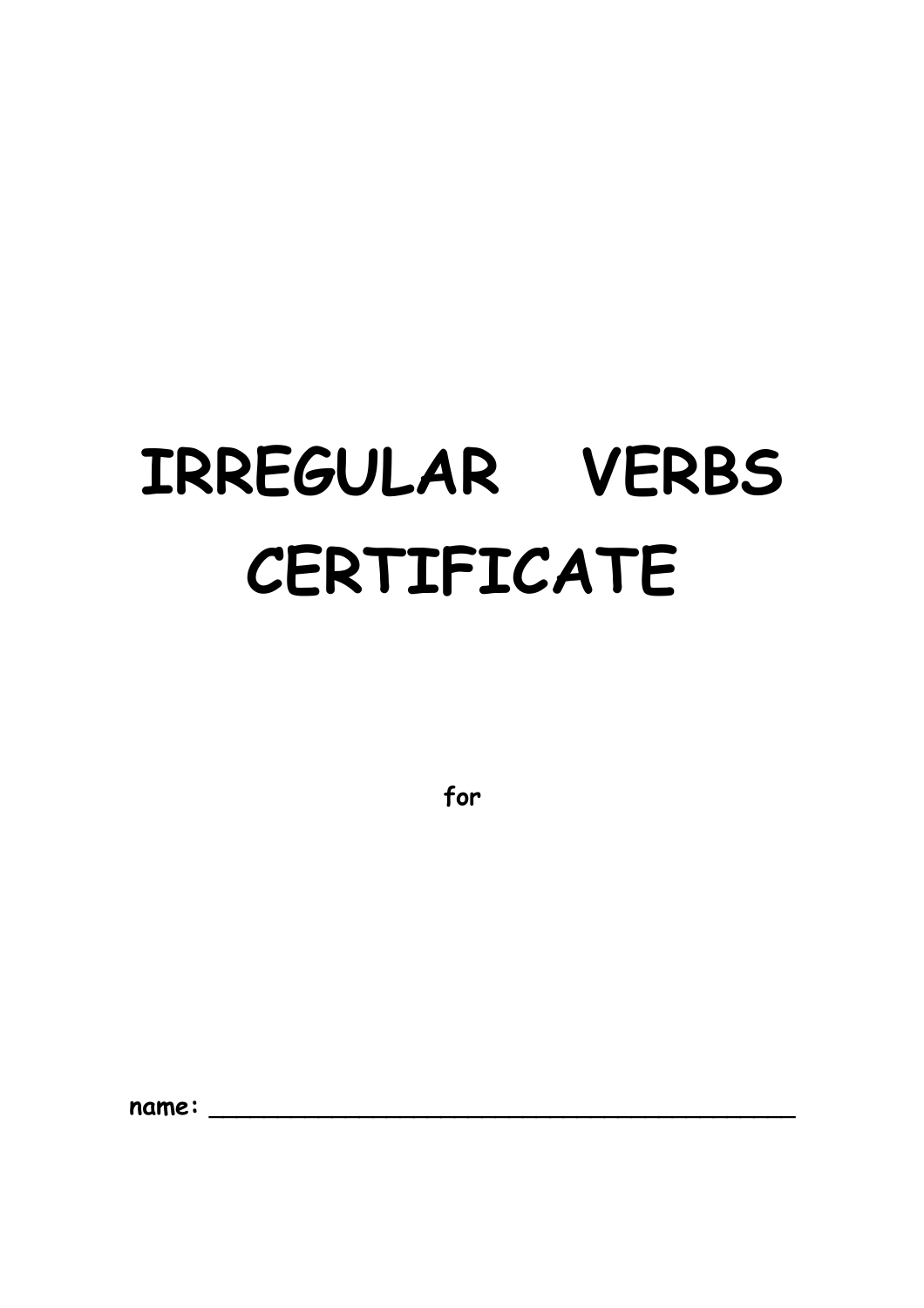# IRREGULAR VERBS CERTIFICATE

for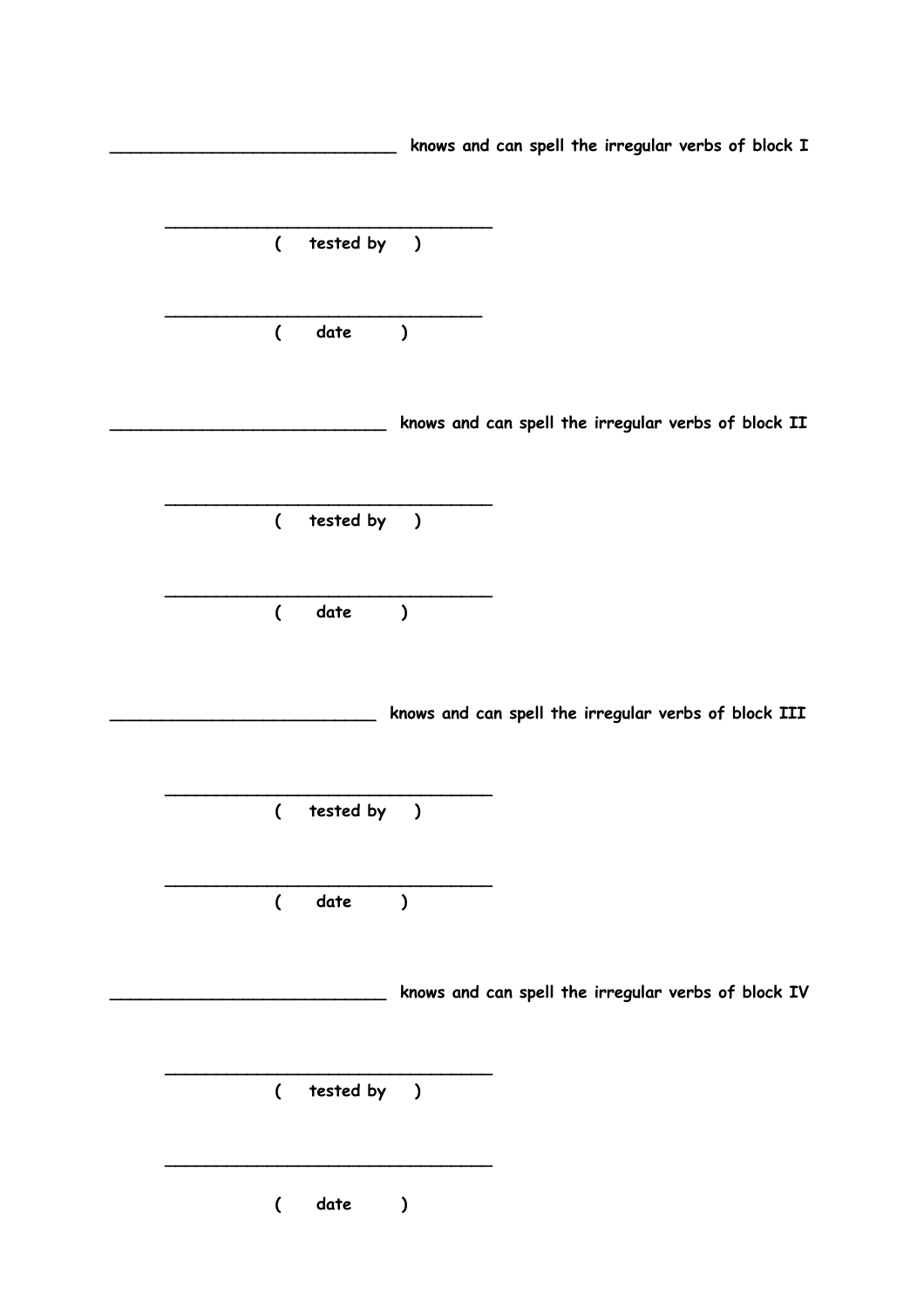**\_\_\_\_\_\_\_\_\_\_\_\_\_\_\_\_\_\_\_\_\_\_\_\_\_\_\_\_ knows and can spell the irregular verbs of block I \_\_\_\_\_\_\_\_\_\_\_\_\_\_\_\_\_\_\_\_\_\_\_\_\_\_\_\_\_\_\_\_ ( tested by ) \_\_\_\_\_\_\_\_\_\_\_\_\_\_\_\_\_\_\_\_\_\_\_\_\_\_\_\_\_\_\_ ( date ) \_\_\_\_\_\_\_\_\_\_\_\_\_\_\_\_\_\_\_\_\_\_\_\_\_\_\_ knows and can spell the irregular verbs of block II \_\_\_\_\_\_\_\_\_\_\_\_\_\_\_\_\_\_\_\_\_\_\_\_\_\_\_\_\_\_\_\_ ( tested by ) \_\_\_\_\_\_\_\_\_\_\_\_\_\_\_\_\_\_\_\_\_\_\_\_\_\_\_\_\_\_\_\_ ( date ) \_\_\_\_\_\_\_\_\_\_\_\_\_\_\_\_\_\_\_\_\_\_\_\_\_\_ knows and can spell the irregular verbs of block III \_\_\_\_\_\_\_\_\_\_\_\_\_\_\_\_\_\_\_\_\_\_\_\_\_\_\_\_\_\_\_\_ ( tested by ) \_\_\_\_\_\_\_\_\_\_\_\_\_\_\_\_\_\_\_\_\_\_\_\_\_\_\_\_\_\_\_\_ ( date ) \_\_\_\_\_\_\_\_\_\_\_\_\_\_\_\_\_\_\_\_\_\_\_\_\_\_\_ knows and can spell the irregular verbs of block IV \_\_\_\_\_\_\_\_\_\_\_\_\_\_\_\_\_\_\_\_\_\_\_\_\_\_\_\_\_\_\_\_ ( tested by ) \_\_\_\_\_\_\_\_\_\_\_\_\_\_\_\_\_\_\_\_\_\_\_\_\_\_\_\_\_\_\_\_ ( date )**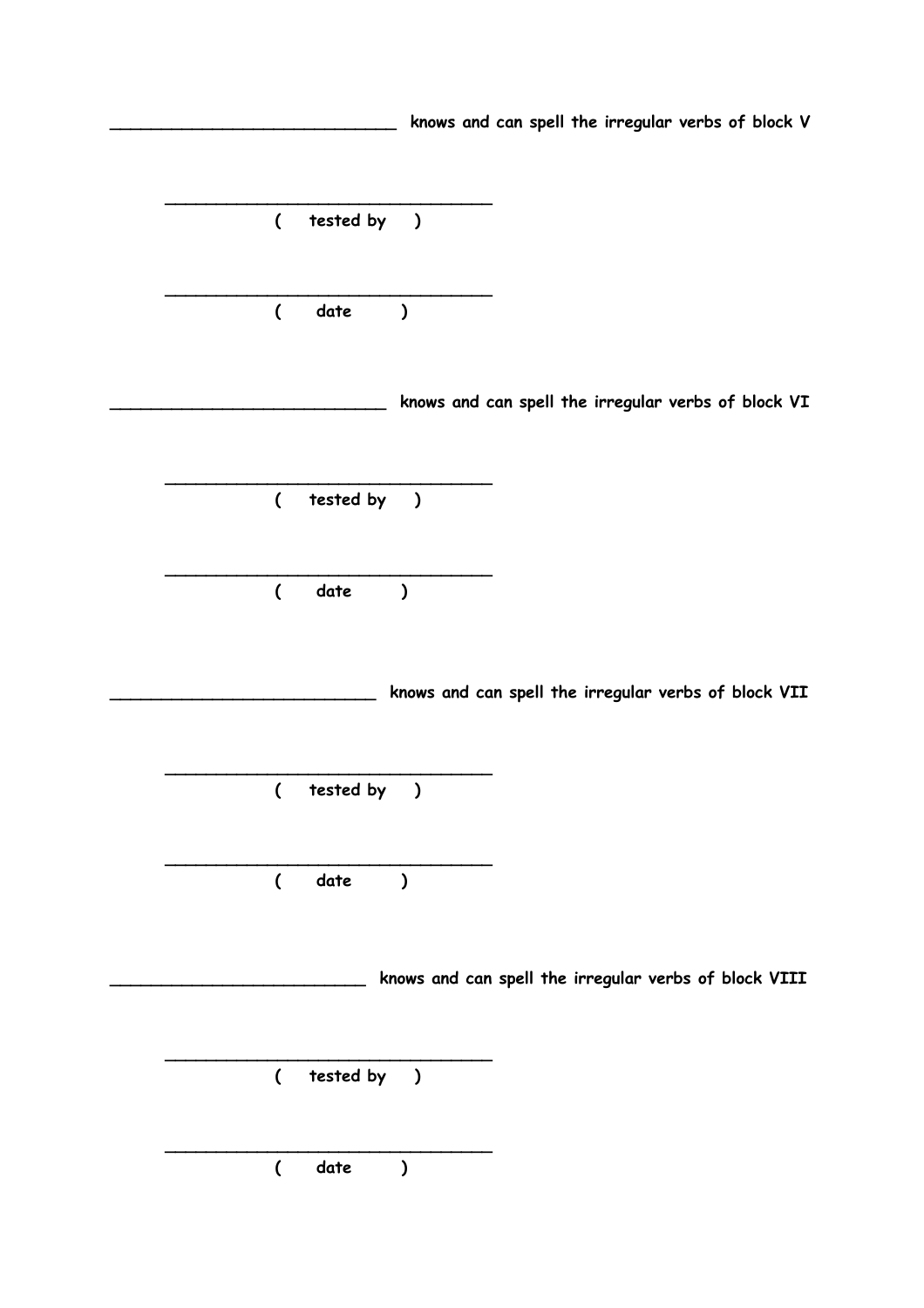**\_\_\_\_\_\_\_\_\_\_\_\_\_\_\_\_\_\_\_\_\_\_\_\_\_\_\_\_ knows and can spell the irregular verbs of block V \_\_\_\_\_\_\_\_\_\_\_\_\_\_\_\_\_\_\_\_\_\_\_\_\_\_\_\_\_\_\_\_ ( tested by ) \_\_\_\_\_\_\_\_\_\_\_\_\_\_\_\_\_\_\_\_\_\_\_\_\_\_\_\_\_\_\_\_ ( date ) \_\_\_\_\_\_\_\_\_\_\_\_\_\_\_\_\_\_\_\_\_\_\_\_\_\_\_ knows and can spell the irregular verbs of block VI \_\_\_\_\_\_\_\_\_\_\_\_\_\_\_\_\_\_\_\_\_\_\_\_\_\_\_\_\_\_\_\_ ( tested by ) \_\_\_\_\_\_\_\_\_\_\_\_\_\_\_\_\_\_\_\_\_\_\_\_\_\_\_\_\_\_\_\_ ( date ) \_\_\_\_\_\_\_\_\_\_\_\_\_\_\_\_\_\_\_\_\_\_\_\_\_\_ knows and can spell the irregular verbs of block VII \_\_\_\_\_\_\_\_\_\_\_\_\_\_\_\_\_\_\_\_\_\_\_\_\_\_\_\_\_\_\_\_ ( tested by ) \_\_\_\_\_\_\_\_\_\_\_\_\_\_\_\_\_\_\_\_\_\_\_\_\_\_\_\_\_\_\_\_ ( date ) \_\_\_\_\_\_\_\_\_\_\_\_\_\_\_\_\_\_\_\_\_\_\_\_\_ knows and can spell the irregular verbs of block VIII \_\_\_\_\_\_\_\_\_\_\_\_\_\_\_\_\_\_\_\_\_\_\_\_\_\_\_\_\_\_\_\_ ( tested by ) \_\_\_\_\_\_\_\_\_\_\_\_\_\_\_\_\_\_\_\_\_\_\_\_\_\_\_\_\_\_\_\_ ( date )**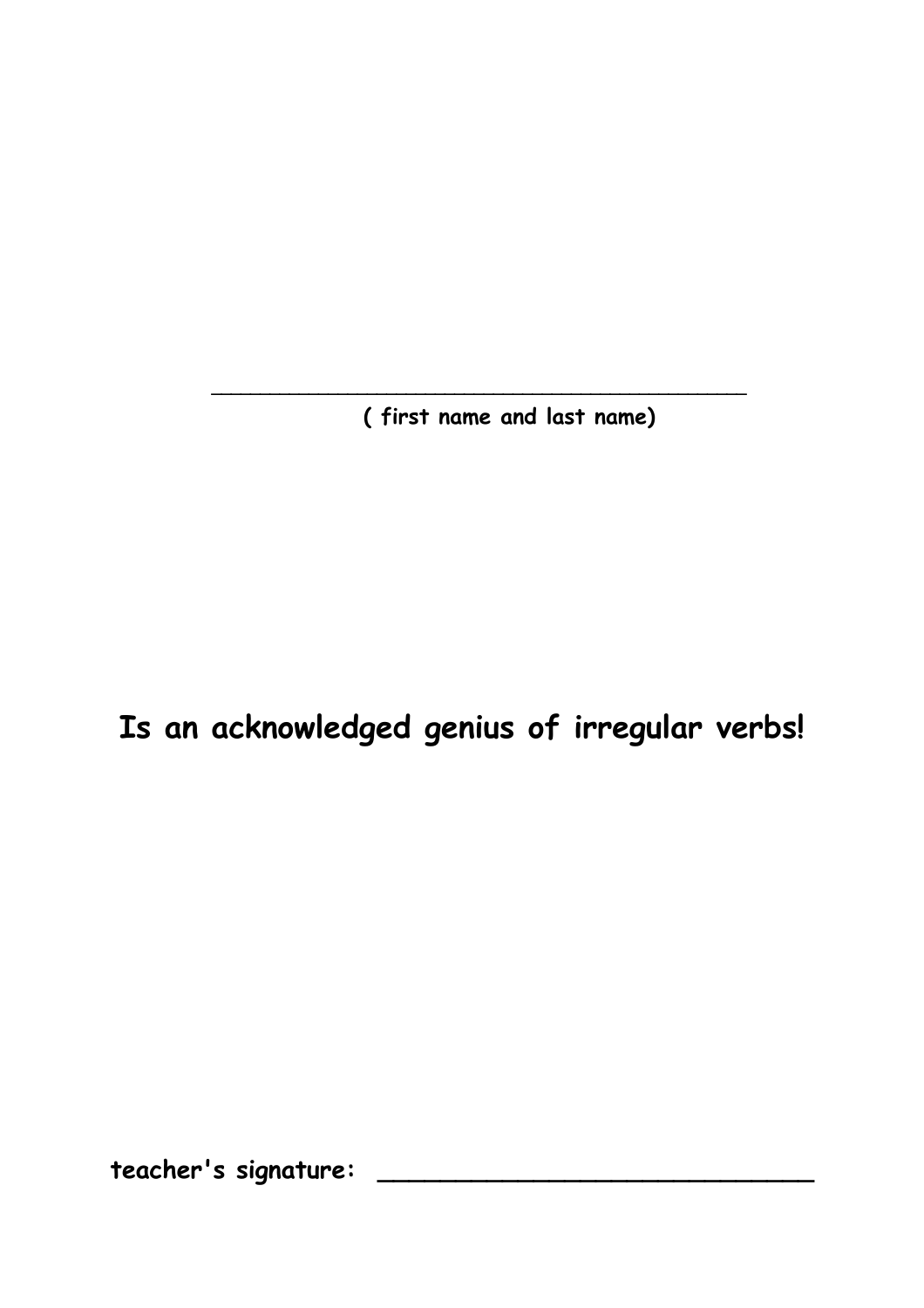**( first name and last name)**

 **\_\_\_\_\_\_\_\_\_\_\_\_\_\_\_\_\_\_\_\_\_\_\_\_\_\_\_\_\_\_\_\_\_\_\_\_\_\_\_\_\_\_\_\_\_\_\_\_\_\_\_\_\_\_\_**

## **Is an acknowledged genius of irregular verbs!**

**teacher's signature: \_\_\_\_\_\_\_\_\_\_\_\_\_\_\_\_\_\_\_\_\_\_\_\_\_\_\_\_**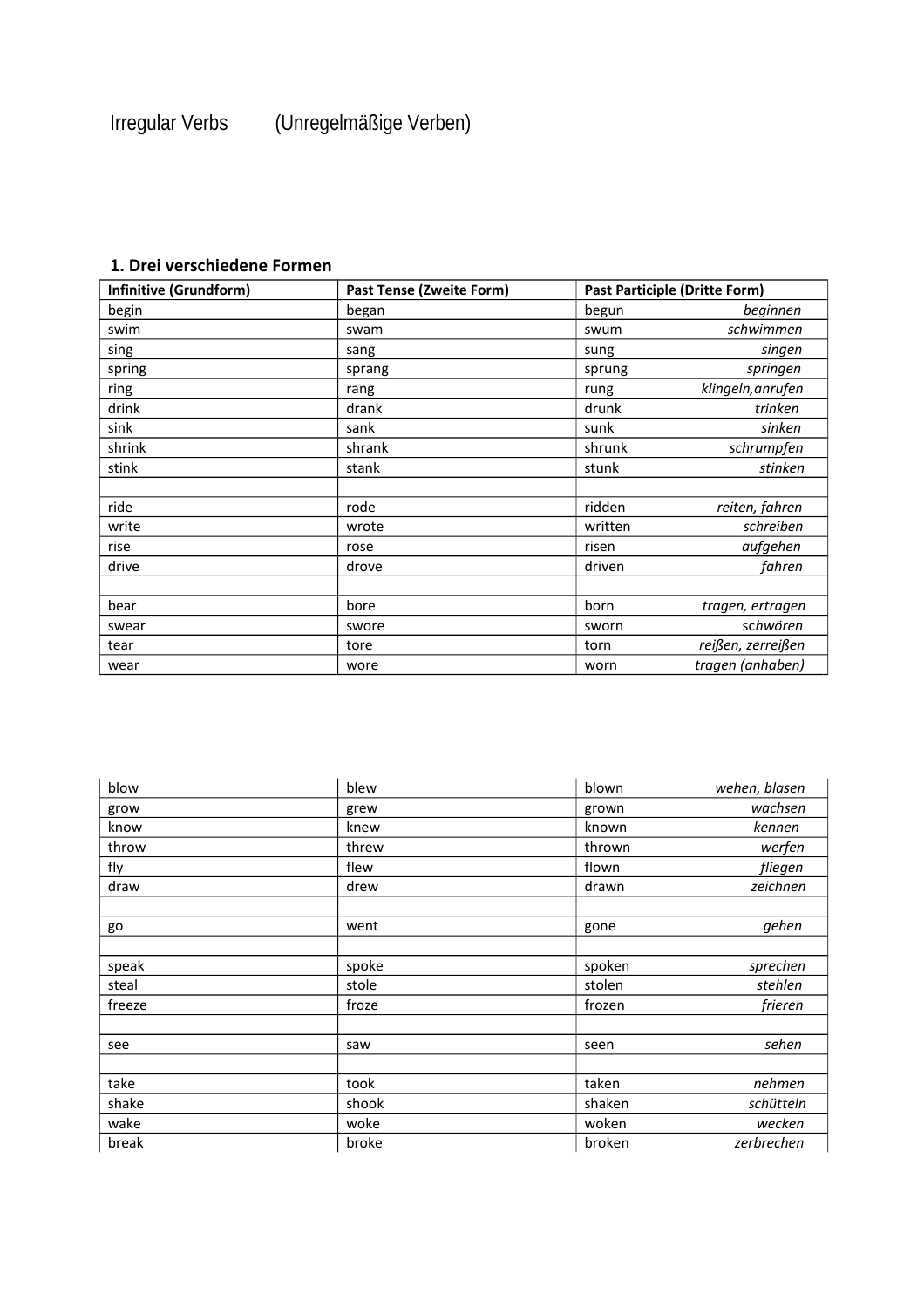### **1. Drei verschiedene Formen**

| Infinitive (Grundform) | <b>Past Tense (Zweite Form)</b> | <b>Past Participle (Dritte Form)</b> |                   |
|------------------------|---------------------------------|--------------------------------------|-------------------|
| begin                  | began                           | begun                                | beginnen          |
| swim                   | swam                            | swum                                 | schwimmen         |
| sing                   | sang                            | sung                                 | singen            |
| spring                 | sprang                          | sprung                               | springen          |
| ring                   | rang                            | rung                                 | klingeln, anrufen |
| drink                  | drank                           | drunk                                | trinken           |
| sink                   | sank                            | sunk                                 | sinken            |
| shrink                 | shrank                          | shrunk                               | schrumpfen        |
| stink                  | stank                           | stunk                                | stinken           |
|                        |                                 |                                      |                   |
| ride                   | rode                            | ridden                               | reiten, fahren    |
| write                  | wrote                           | written                              | schreiben         |
| rise                   | rose                            | risen                                | aufgehen          |
| drive                  | drove                           | driven                               | fahren            |
|                        |                                 |                                      |                   |
| bear                   | bore                            | born                                 | tragen, ertragen  |
| swear                  | swore                           | sworn                                | schwören          |
| tear                   | tore                            | torn                                 | reißen, zerreißen |
| wear                   | wore                            | worn                                 | tragen (anhaben)  |

| blow   | blew  | blown  | wehen, blasen |
|--------|-------|--------|---------------|
| grow   | grew  | grown  | wachsen       |
| know   | knew  | known  | kennen        |
| throw  | threw | thrown | werfen        |
| fly    | flew  | flown  | fliegen       |
| draw   | drew  | drawn  | zeichnen      |
|        |       |        |               |
| go     | went  | gone   | gehen         |
|        |       |        |               |
| speak  | spoke | spoken | sprechen      |
| steal  | stole | stolen | stehlen       |
| freeze | froze | frozen | frieren       |
|        |       |        |               |
| see    | saw   | seen   | sehen         |
|        |       |        |               |
| take   | took  | taken  | nehmen        |
| shake  | shook | shaken | schütteln     |
| wake   | woke  | woken  | wecken        |
| break  | broke | broken | zerbrechen    |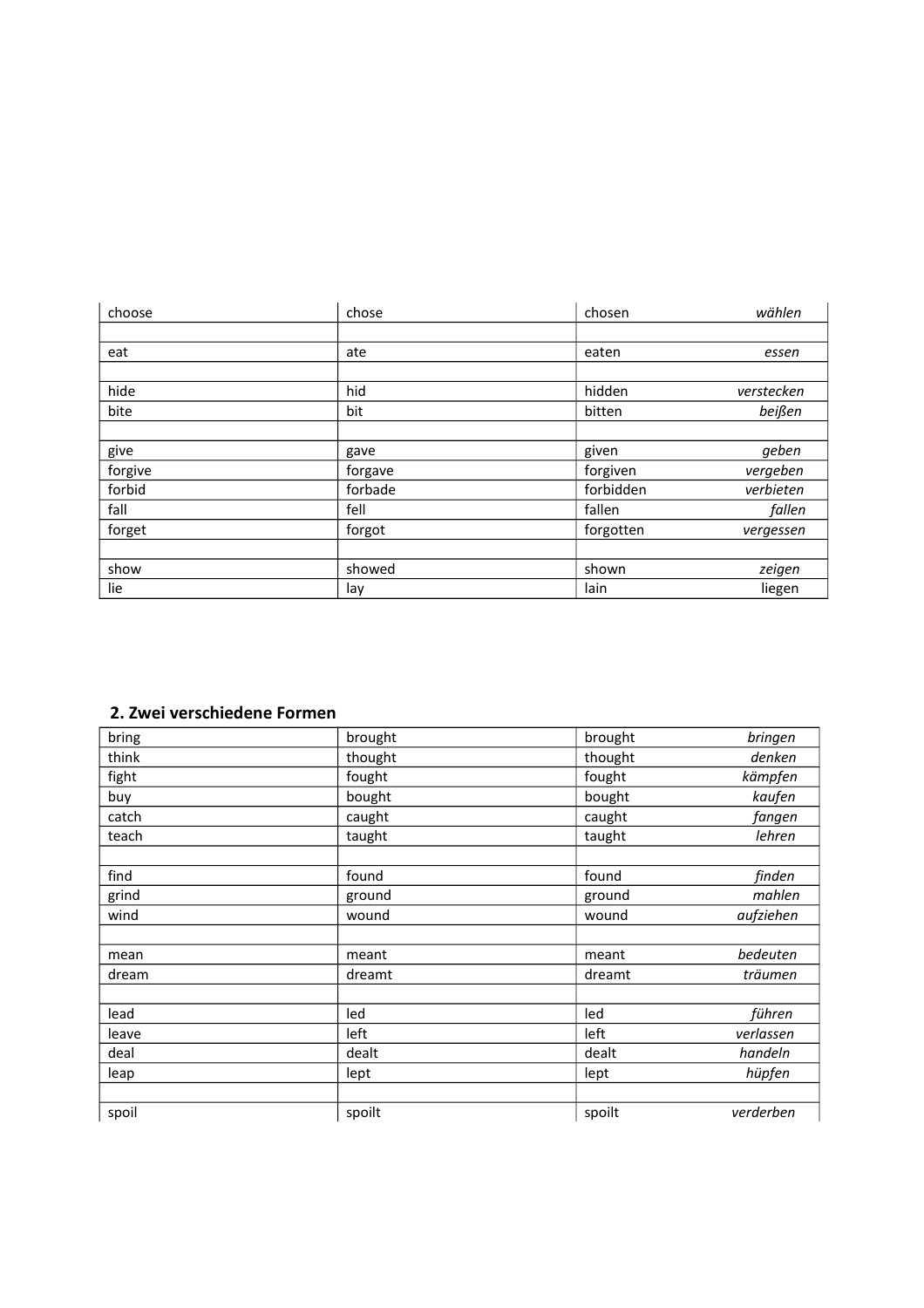| choose  | chose   | chosen    | wählen     |
|---------|---------|-----------|------------|
|         |         |           |            |
| eat     | ate     | eaten     | essen      |
|         |         |           |            |
| hide    | hid     | hidden    | verstecken |
| bite    | bit     | bitten    | beißen     |
|         |         |           |            |
| give    | gave    | given     | geben      |
| forgive | forgave | forgiven  | vergeben   |
| forbid  | forbade | forbidden | verbieten  |
| fall    | fell    | fallen    | fallen     |
| forget  | forgot  | forgotten | vergessen  |
|         |         |           |            |
| show    | showed  | shown     | zeigen     |
| lie     | lay     | lain      | liegen     |

#### **2. Zwei verschiedene Formen**

| bring | brought | brought | bringen   |
|-------|---------|---------|-----------|
|       |         |         |           |
| think | thought | thought | denken    |
| fight | fought  | fought  | kämpfen   |
| buy   | bought  | bought  | kaufen    |
| catch | caught  | caught  | fangen    |
| teach | taught  | taught  | lehren    |
|       |         |         |           |
| find  | found   | found   | finden    |
| grind | ground  | ground  | mahlen    |
| wind  | wound   | wound   | aufziehen |
|       |         |         |           |
| mean  | meant   | meant   | bedeuten  |
| dream | dreamt  | dreamt  | träumen   |
|       |         |         |           |
| lead  | led     | led     | führen    |
| leave | left    | left    | verlassen |
| deal  | dealt   | dealt   | handeln   |
| leap  | lept    | lept    | hüpfen    |
|       |         |         |           |
| spoil | spoilt  | spoilt  | verderben |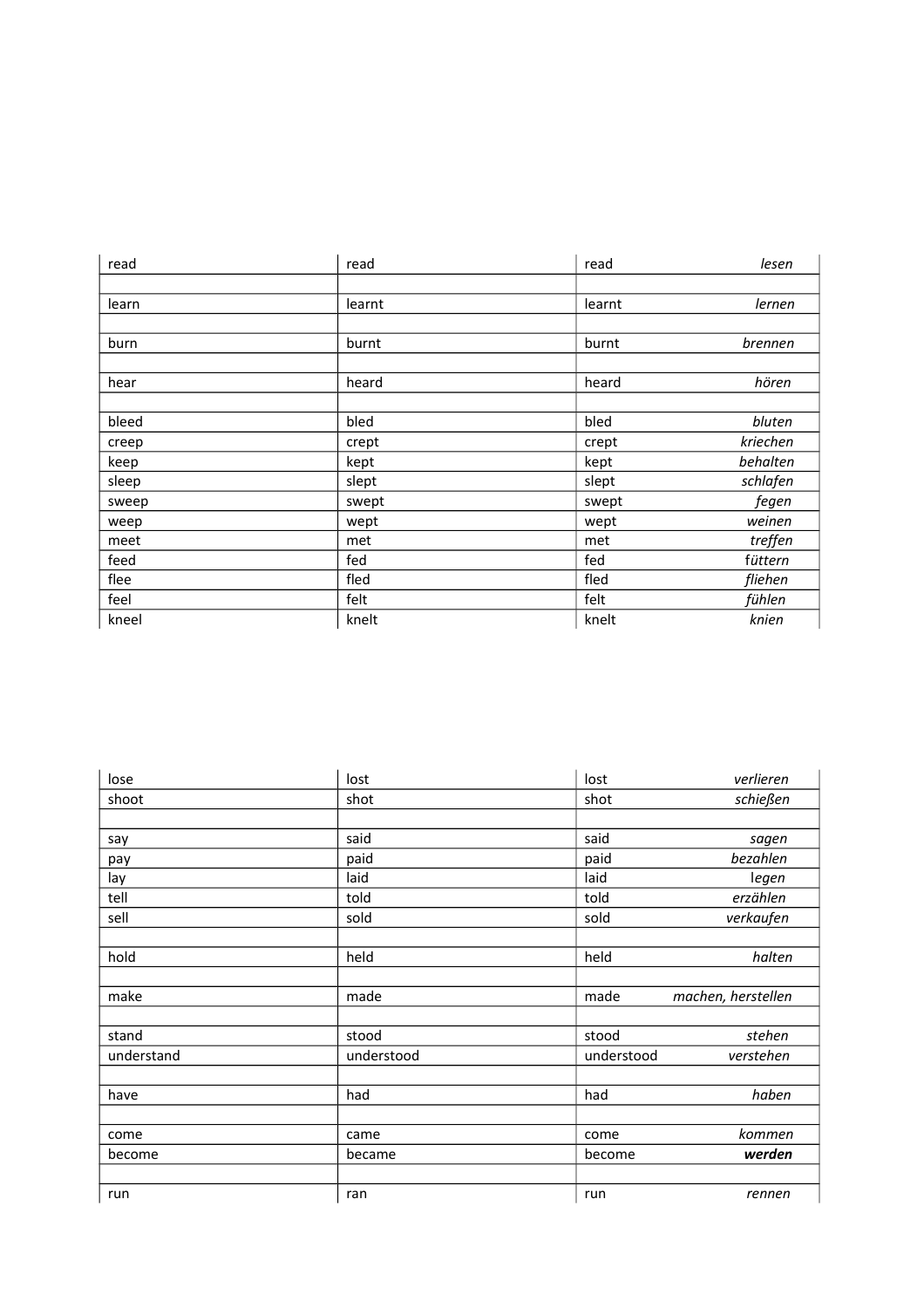| read  | read   | read   | lesen    |
|-------|--------|--------|----------|
|       |        |        |          |
| learn | learnt | learnt | lernen   |
|       |        |        |          |
| burn  | burnt  | burnt  | brennen  |
|       |        |        |          |
| hear  | heard  | heard  | hören    |
|       |        |        |          |
| bleed | bled   | bled   | bluten   |
| creep | crept  | crept  | kriechen |
| keep  | kept   | kept   | behalten |
| sleep | slept  | slept  | schlafen |
| sweep | swept  | swept  | fegen    |
| weep  | wept   | wept   | weinen   |
| meet  | met    | met    | treffen  |
| feed  | fed    | fed    | füttern  |
| flee  | fled   | fled   | fliehen  |
| feel  | felt   | felt   | fühlen   |
| kneel | knelt  | knelt  | knien    |

| lose       | lost       | lost       | verlieren          |
|------------|------------|------------|--------------------|
| shoot      | shot       | shot       | schießen           |
|            |            |            |                    |
| say        | said       | said       | sagen              |
| pay        | paid       | paid       | bezahlen           |
| lay        | laid       | laid       | legen              |
| tell       | told       | told       | erzählen           |
| sell       | sold       | sold       | verkaufen          |
|            |            |            |                    |
| hold       | held       | held       | halten             |
|            |            |            |                    |
| make       | made       | made       | machen, herstellen |
|            |            |            |                    |
| stand      | stood      | stood      | stehen             |
| understand | understood | understood | verstehen          |
|            |            |            |                    |
| have       | had        | had        | haben              |
|            |            |            |                    |
| come       | came       | come       | kommen             |
| become     | became     | become     | werden             |
|            |            |            |                    |
| run        | ran        | run        | rennen             |